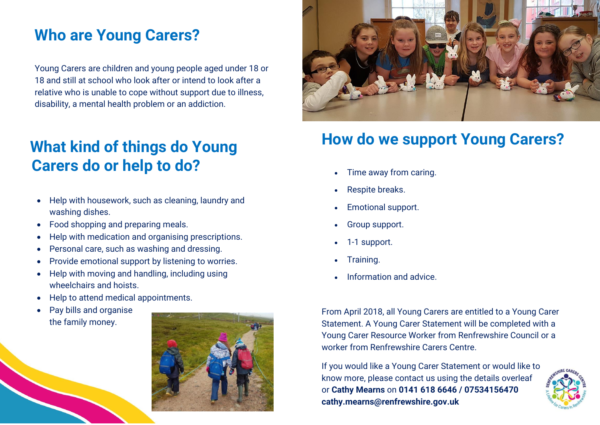## **Who are Young Carers?**

Young Carers are children and young people aged under 18 or 18 and still at school who look after or intend to look after a relative who is unable to cope without support due to illness, disability, a mental health problem or an addiction.

## **What kind of things do Young r Carers do or help to do?**

- Help with housework, such as cleaning, laundry and washing dishes.
- Food shopping and preparing meals.
- Help with medication and organising prescriptions.
- Personal care, such as washing and dressing.
- Provide emotional support by listening to worries.
- Help with moving and handling, including using wheelchairs and hoists.
- Help to attend medical appointments.
- Pay bills and organise the family money.





### **How do we support Young Carers?**

- Time away from caring.
- Respite breaks.
- Emotional support.
- Group support.
- 1-1 support.
- Training.
- Information and advice.

From April 2018, all Young Carers are entitled to a Young Carer Statement. A Young Carer Statement will be completed with a Young Carer Resource Worker from Renfrewshire Council or a worker from Renfrewshire Carers Centre.

If you would like a Young Carer Statement or would like to know more, please contact us using the details overleaf or **Cathy Mearns** on **0141 618 6646 / 07534156470 cathy.mearns@renfrewshire.gov.uk**